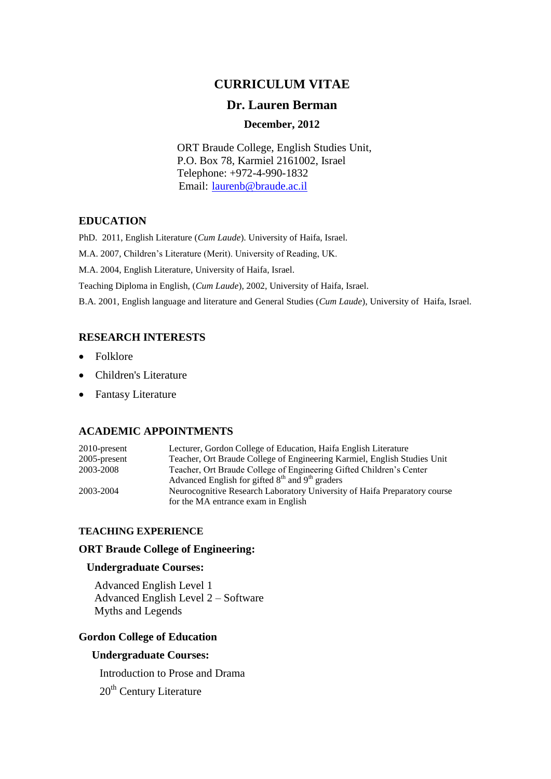# **CURRICULUM VITAE**

## **Dr. Lauren Berman**

## **December, 2012**

ORT Braude College, English Studies Unit, P.O. Box 78, Karmiel 2161002, Israel Telephone: +972-4-990-1832 Email: [laurenb@braude.ac.il](mailto:laurenb@braude.ac.il)

### **EDUCATION**

PhD. 2011, English Literature (*Cum Laude*). University of Haifa, Israel.

M.A. 2007, Children's Literature (Merit). University of Reading, UK.

M.A. 2004, English Literature, University of Haifa, Israel.

Teaching Diploma in English, (*Cum Laude*), 2002, University of Haifa, Israel.

B.A. 2001, English language and literature and General Studies (*Cum Laude*), University of Haifa, Israel.

## **RESEARCH INTERESTS**

- Folklore
- Children's Literature
- Fantasy Literature

### **ACADEMIC APPOINTMENTS**

| $2010$ -present | Lecturer, Gordon College of Education, Haifa English Literature           |
|-----------------|---------------------------------------------------------------------------|
| $2005$ -present | Teacher, Ort Braude College of Engineering Karmiel, English Studies Unit  |
| 2003-2008       | Teacher, Ort Braude College of Engineering Gifted Children's Center       |
|                 | Advanced English for gifted $8th$ and $9th$ graders                       |
| 2003-2004       | Neurocognitive Research Laboratory University of Haifa Preparatory course |
|                 | for the MA entrance exam in English                                       |

#### **TEACHING EXPERIENCE**

#### **ORT Braude College of Engineering:**

### **Undergraduate Courses:**

Advanced English Level 1 Advanced English Level 2 – Software Myths and Legends

### **Gordon College of Education**

### **Undergraduate Courses:**

Introduction to Prose and Drama

20<sup>th</sup> Century Literature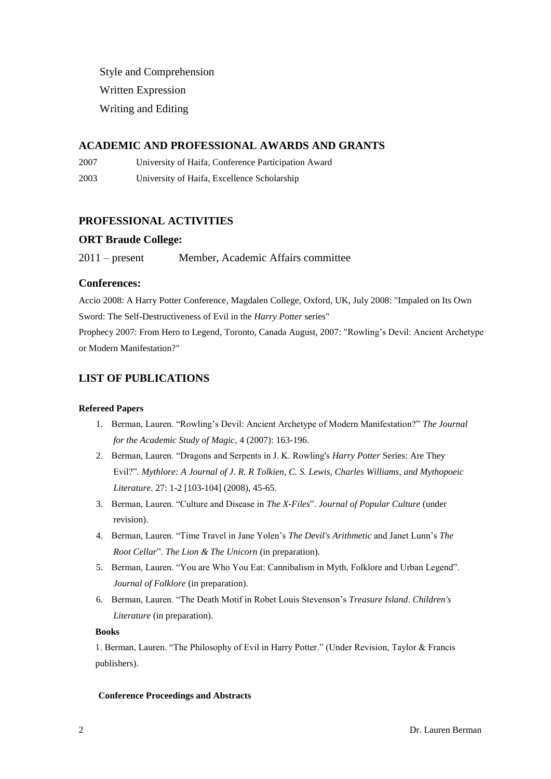Style and Comprehension Written Expression Writing and Editing

### **ACADEMIC AND PROFESSIONAL AWARDS AND GRANTS**

2007 University of Haifa, Conference Participation Award

2003 University of Haifa, Excellence Scholarship

## **PROFESSIONAL ACTIVITIES**

#### **ORT Braude College:**

2011 – present Member, Academic Affairs committee

#### **Conferences:**

Accio 2008: A Harry Potter Conference, Magdalen College, Oxford, UK, July 2008: "Impaled on Its Own Sword: The Self-Destructiveness of Evil in the *Harry Potter* series"

Prophecy 2007: From Hero to Legend, Toronto, Canada August, 2007: "Rowling's Devil: Ancient Archetype or Modern Manifestation?"

## **LIST OF PUBLICATIONS**

#### **Refereed Papers**

- 1. Berman, Lauren. "Rowling's Devil: Ancient Archetype of Modern Manifestation?" *The Journal for the Academic Study of Magic*, 4 (2007): 163-196.
- 2. Berman, Lauren. "Dragons and Serpents in J. K. Rowling's *Harry Potter* Series: Are They Evil?". *Mythlore: A Journal of J. R. R Tolkien, C. S. Lewis, Charles Williams, and Mythopoeic Literature*. 27: 1-2 [103-104] (2008), 45-65.
- 3. Berman, Lauren. "Culture and Disease in *The X-Files*". *Journal of Popular Culture* (under revision).
- 4. Berman, Lauren. "Time Travel in Jane Yolen's *The Devil's Arithmetic* and Janet Lunn's *The Root Cellar*". *The Lion & The Unicorn* (in preparation).
- 5. Berman, Lauren. "You are Who You Eat: Cannibalism in Myth, Folklore and Urban Legend". *Journal of Folklore* (in preparation).
- 6. Berman, Lauren. "The Death Motif in Robet Louis Stevenson's *Treasure Island*. *Children's Literature* (in preparation).

#### **Books**

1. Berman, Lauren. "The Philosophy of Evil in Harry Potter." (Under Revision, Taylor & Francis publishers).

#### **Conference Proceedings and Abstracts**